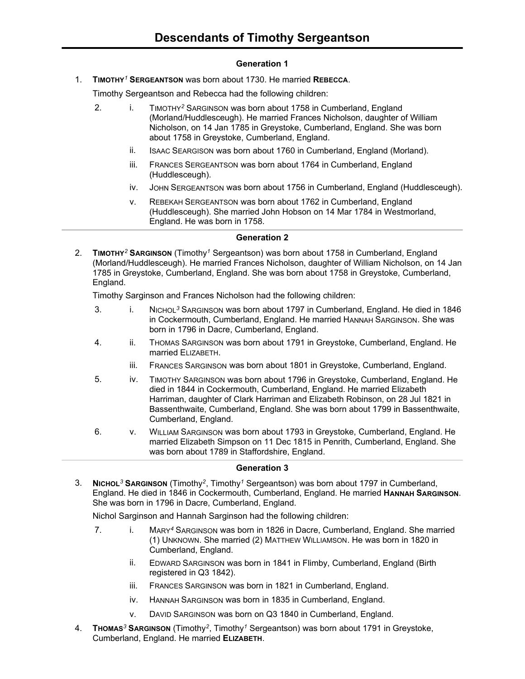## **Generation 1**

1. **TIMOTHY***<sup>1</sup>* **SERGEANTSON** was born about 1730. He married **REBECCA**.

Timothy Sergeantson and Rebecca had the following children:

- 2. i. TIMOTHY*<sup>2</sup>* SARGINSON was born about 1758 in Cumberland, England (Morland/Huddlesceugh). He married Frances Nicholson, daughter of William Nicholson, on 14 Jan 1785 in Greystoke, Cumberland, England. She was born about 1758 in Greystoke, Cumberland, England.
	- ii. ISAAC SEARGISON was born about 1760 in Cumberland, England (Morland).
	- iii. FRANCES SERGEANTSON was born about 1764 in Cumberland, England (Huddlesceugh).
	- iv. JOHN SERGEANTSON was born about 1756 in Cumberland, England (Huddlesceugh).
	- v. REBEKAH SERGEANTSON was born about 1762 in Cumberland, England (Huddlesceugh). She married John Hobson on 14 Mar 1784 in Westmorland, England. He was born in 1758.

### **Generation 2**

2. **TIMOTHY***<sup>2</sup>* **SARGINSON** (Timothy*<sup>1</sup>* Sergeantson) was born about 1758 in Cumberland, England (Morland/Huddlesceugh). He married Frances Nicholson, daughter of William Nicholson, on 14 Jan 1785 in Greystoke, Cumberland, England. She was born about 1758 in Greystoke, Cumberland, England.

Timothy Sarginson and Frances Nicholson had the following children:

- 3. i. NICHOL*<sup>3</sup>* SARGINSON was born about 1797 in Cumberland, England. He died in 1846 in Cockermouth, Cumberland, England. He married HANNAH SARGINSON. She was born in 1796 in Dacre, Cumberland, England.
- 4. ii. THOMAS SARGINSON was born about 1791 in Greystoke, Cumberland, England. He married ELIZABETH.
	- iii. FRANCES SARGINSON was born about 1801 in Greystoke, Cumberland, England.
- 5. iv. TIMOTHY SARGINSON was born about 1796 in Greystoke, Cumberland, England. He died in 1844 in Cockermouth, Cumberland, England. He married Elizabeth Harriman, daughter of Clark Harriman and Elizabeth Robinson, on 28 Jul 1821 in Bassenthwaite, Cumberland, England. She was born about 1799 in Bassenthwaite, Cumberland, England.
- 6. v. WILLIAM SARGINSON was born about 1793 in Greystoke, Cumberland, England. He married Elizabeth Simpson on 11 Dec 1815 in Penrith, Cumberland, England. She was born about 1789 in Staffordshire, England.

#### **Generation 3**

3. **NICHOL***<sup>3</sup>* **SARGINSON** (Timothy*<sup>2</sup>* , Timothy*<sup>1</sup>* Sergeantson) was born about 1797 in Cumberland, England. He died in 1846 in Cockermouth, Cumberland, England. He married **HANNAH SARGINSON**. She was born in 1796 in Dacre, Cumberland, England.

Nichol Sarginson and Hannah Sarginson had the following children:

- 7. i. MARY*<sup>4</sup>* SARGINSON was born in 1826 in Dacre, Cumberland, England. She married (1) UNKNOWN. She married (2) MATTHEW WILLIAMSON. He was born in 1820 in Cumberland, England.
	- ii. EDWARD SARGINSON was born in 1841 in Flimby, Cumberland, England (Birth registered in Q3 1842).
	- iii. FRANCES SARGINSON was born in 1821 in Cumberland, England.
	- iv. HANNAH SARGINSON was born in 1835 in Cumberland, England.
	- v. DAVID SARGINSON was born on Q3 1840 in Cumberland, England.
- 4. **THOMAS***<sup>3</sup>* **SARGINSON** (Timothy*<sup>2</sup>* , Timothy*<sup>1</sup>* Sergeantson) was born about 1791 in Greystoke, Cumberland, England. He married **ELIZABETH**.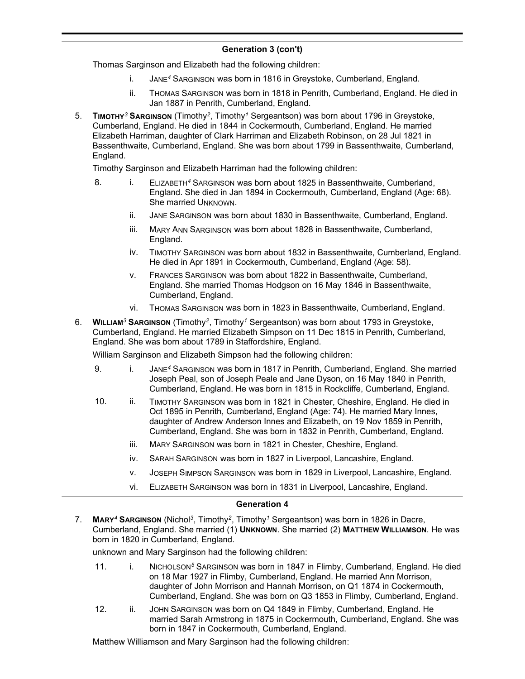# **Generation 3 (con't)**

Thomas Sarginson and Elizabeth had the following children:

- i. JANE*<sup>4</sup>* SARGINSON was born in 1816 in Greystoke, Cumberland, England.
- ii. THOMAS SARGINSON was born in 1818 in Penrith, Cumberland, England. He died in Jan 1887 in Penrith, Cumberland, England.
- 5. **TIMOTHY***<sup>3</sup>* **SARGINSON** (Timothy*<sup>2</sup>* , Timothy*<sup>1</sup>* Sergeantson) was born about 1796 in Greystoke, Cumberland, England. He died in 1844 in Cockermouth, Cumberland, England. He married Elizabeth Harriman, daughter of Clark Harriman and Elizabeth Robinson, on 28 Jul 1821 in Bassenthwaite, Cumberland, England. She was born about 1799 in Bassenthwaite, Cumberland, England.

Timothy Sarginson and Elizabeth Harriman had the following children:

- 8. i. ELIZABETH*<sup>4</sup>* SARGINSON was born about 1825 in Bassenthwaite, Cumberland, England. She died in Jan 1894 in Cockermouth, Cumberland, England (Age: 68). She married UNKNOWN.
	- ii. JANE SARGINSON was born about 1830 in Bassenthwaite, Cumberland, England.
	- iii. MARY ANN SARGINSON was born about 1828 in Bassenthwaite, Cumberland, England.
	- iv. TIMOTHY SARGINSON was born about 1832 in Bassenthwaite, Cumberland, England. He died in Apr 1891 in Cockermouth, Cumberland, England (Age: 58).
	- v. FRANCES SARGINSON was born about 1822 in Bassenthwaite, Cumberland, England. She married Thomas Hodgson on 16 May 1846 in Bassenthwaite, Cumberland, England.
	- vi. THOMAS SARGINSON was born in 1823 in Bassenthwaite, Cumberland, England.
- 6. **WILLIAM***<sup>3</sup>* **SARGINSON** (Timothy*<sup>2</sup>* , Timothy*<sup>1</sup>* Sergeantson) was born about 1793 in Greystoke, Cumberland, England. He married Elizabeth Simpson on 11 Dec 1815 in Penrith, Cumberland, England. She was born about 1789 in Staffordshire, England.

William Sarginson and Elizabeth Simpson had the following children:

- 9. i. JANE*<sup>4</sup>* SARGINSON was born in 1817 in Penrith, Cumberland, England. She married Joseph Peal, son of Joseph Peale and Jane Dyson, on 16 May 1840 in Penrith, Cumberland, England. He was born in 1815 in Rockcliffe, Cumberland, England.
- 10. ii. TIMOTHY SARGINSON was born in 1821 in Chester, Cheshire, England. He died in Oct 1895 in Penrith, Cumberland, England (Age: 74). He married Mary Innes, daughter of Andrew Anderson Innes and Elizabeth, on 19 Nov 1859 in Penrith, Cumberland, England. She was born in 1832 in Penrith, Cumberland, England.
	- iii. MARY SARGINSON was born in 1821 in Chester, Cheshire, England.
	- iv. SARAH SARGINSON was born in 1827 in Liverpool, Lancashire, England.
	- v. JOSEPH SIMPSON SARGINSON was born in 1829 in Liverpool, Lancashire, England.
	- vi. ELIZABETH SARGINSON was born in 1831 in Liverpool, Lancashire, England.

#### **Generation 4**

7. **MARY***<sup>4</sup>* **SARGINSON** (Nichol*<sup>3</sup>* , Timothy*<sup>2</sup>* , Timothy*<sup>1</sup>* Sergeantson) was born in 1826 in Dacre, Cumberland, England. She married (1) **UNKNOWN**. She married (2) **MATTHEW WILLIAMSON**. He was born in 1820 in Cumberland, England.

unknown and Mary Sarginson had the following children:

- 11. i. NICHOLSON*<sup>5</sup>* SARGINSON was born in 1847 in Flimby, Cumberland, England. He died on 18 Mar 1927 in Flimby, Cumberland, England. He married Ann Morrison, daughter of John Morrison and Hannah Morrison, on Q1 1874 in Cockermouth, Cumberland, England. She was born on Q3 1853 in Flimby, Cumberland, England.
- 12. ii. JOHN SARGINSON was born on Q4 1849 in Flimby, Cumberland, England. He married Sarah Armstrong in 1875 in Cockermouth, Cumberland, England. She was born in 1847 in Cockermouth, Cumberland, England.

Matthew Williamson and Mary Sarginson had the following children: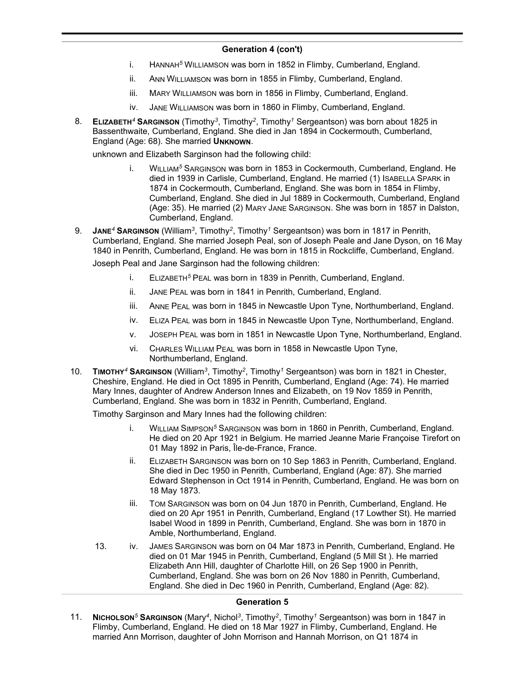### **Generation 4 (con't)**

- i. HANNAH*<sup>5</sup>* WILLIAMSON was born in 1852 in Flimby, Cumberland, England.
- ii. ANN WILLIAMSON was born in 1855 in Flimby, Cumberland, England.
- iii. MARY WILLIAMSON was born in 1856 in Flimby, Cumberland, England.
- iv. JANE WILLIAMSON was born in 1860 in Flimby, Cumberland, England.
- 8. **ELIZABETH***<sup>4</sup>* **SARGINSON** (Timothy*<sup>3</sup>* , Timothy*<sup>2</sup>* , Timothy*<sup>1</sup>* Sergeantson) was born about 1825 in Bassenthwaite, Cumberland, England. She died in Jan 1894 in Cockermouth, Cumberland, England (Age: 68). She married **UNKNOWN**.

unknown and Elizabeth Sarginson had the following child:

- i. WILLIAM*<sup>5</sup>* SARGINSON was born in 1853 in Cockermouth, Cumberland, England. He died in 1939 in Carlisle, Cumberland, England. He married (1) ISABELLA SPARK in 1874 in Cockermouth, Cumberland, England. She was born in 1854 in Flimby, Cumberland, England. She died in Jul 1889 in Cockermouth, Cumberland, England (Age: 35). He married (2) MARY JANE SARGINSON. She was born in 1857 in Dalston, Cumberland, England.
- 9. **JANE***<sup>4</sup>* **SARGINSON** (William*<sup>3</sup>* , Timothy*<sup>2</sup>* , Timothy*<sup>1</sup>* Sergeantson) was born in 1817 in Penrith, Cumberland, England. She married Joseph Peal, son of Joseph Peale and Jane Dyson, on 16 May 1840 in Penrith, Cumberland, England. He was born in 1815 in Rockcliffe, Cumberland, England.

Joseph Peal and Jane Sarginson had the following children:

- i. ELIZABETH*<sup>5</sup>* PEAL was born in 1839 in Penrith, Cumberland, England.
- ii. JANE PEAL was born in 1841 in Penrith, Cumberland, England.
- iii. ANNE PEAL was born in 1845 in Newcastle Upon Tyne, Northumberland, England.
- iv. ELIZA PEAL was born in 1845 in Newcastle Upon Tyne, Northumberland, England.
- v. JOSEPH PEAL was born in 1851 in Newcastle Upon Tyne, Northumberland, England.
- vi. CHARLES WILLIAM PEAL was born in 1858 in Newcastle Upon Tyne, Northumberland, England.
- 10. **TIMOTHY***<sup>4</sup>* **SARGINSON** (William*<sup>3</sup>* , Timothy*<sup>2</sup>* , Timothy*<sup>1</sup>* Sergeantson) was born in 1821 in Chester, Cheshire, England. He died in Oct 1895 in Penrith, Cumberland, England (Age: 74). He married Mary Innes, daughter of Andrew Anderson Innes and Elizabeth, on 19 Nov 1859 in Penrith, Cumberland, England. She was born in 1832 in Penrith, Cumberland, England.

Timothy Sarginson and Mary Innes had the following children:

- i. WILLIAM SIMPSON*<sup>5</sup>* SARGINSON was born in 1860 in Penrith, Cumberland, England. He died on 20 Apr 1921 in Belgium. He married Jeanne Marie Françoise Tirefort on 01 May 1892 in Paris, Île-de-France, France.
- ii. ELIZABETH SARGINSON was born on 10 Sep 1863 in Penrith, Cumberland, England. She died in Dec 1950 in Penrith, Cumberland, England (Age: 87). She married Edward Stephenson in Oct 1914 in Penrith, Cumberland, England. He was born on 18 May 1873.
- iii. TOM SARGINSON was born on 04 Jun 1870 in Penrith, Cumberland, England. He died on 20 Apr 1951 in Penrith, Cumberland, England (17 Lowther St). He married Isabel Wood in 1899 in Penrith, Cumberland, England. She was born in 1870 in Amble, Northumberland, England.
- 13. iv. JAMES SARGINSON was born on 04 Mar 1873 in Penrith, Cumberland, England. He died on 01 Mar 1945 in Penrith, Cumberland, England (5 Mill St ). He married Elizabeth Ann Hill, daughter of Charlotte Hill, on 26 Sep 1900 in Penrith, Cumberland, England. She was born on 26 Nov 1880 in Penrith, Cumberland, England. She died in Dec 1960 in Penrith, Cumberland, England (Age: 82).

#### **Generation 5**

11. **NICHOLSON***<sup>5</sup>* **SARGINSON** (Mary*<sup>4</sup>* , Nichol*<sup>3</sup>* , Timothy*<sup>2</sup>* , Timothy*<sup>1</sup>* Sergeantson) was born in 1847 in Flimby, Cumberland, England. He died on 18 Mar 1927 in Flimby, Cumberland, England. He married Ann Morrison, daughter of John Morrison and Hannah Morrison, on Q1 1874 in